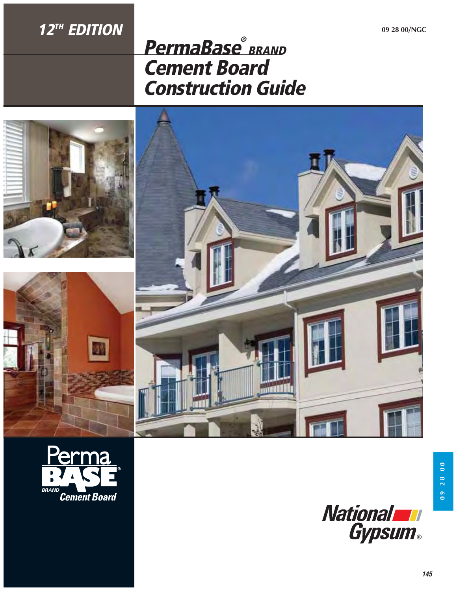## **12TH EDITION**

# **PermaBase® BRAND Cement Board Construction Guide**









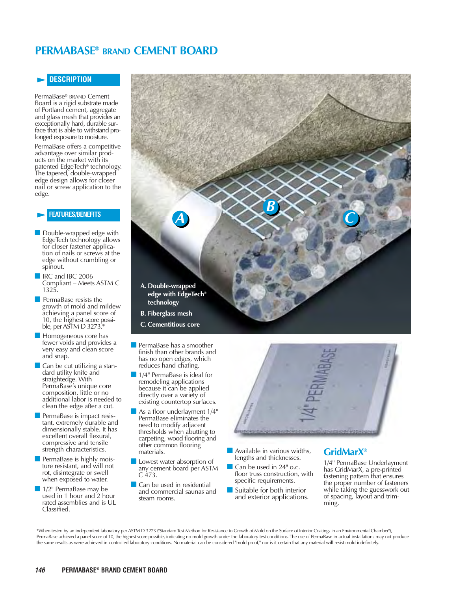### **PERMABASE® BRAND CEMENT BOARD**

#### **DESCRIPTION**

PermaBase<sup>®</sup> BRAND Cement<br>Board is a rigid substrate made of Portland cement, aggregate<br>and glass mesh that provides an<br>exceptionally hard, durable surface that is able to withstand pro- longed exposure to moisture.

PermaBase offers a competitive advantage over similar products on the market with its patented EdgeTech® technology. The tapered, double-wrapped edge design allows for closer nail or screw application to the edge.

#### **FEATURES/BENEFITS**

- Double-wrapped edge with EdgeTech technology allows for closer fastener application of nails or screws at the edge without crumbling or spinout.
- IRC and IBC 2006 Compliant – Meets ASTM C 1325.
- **PermaBase resists the** growth of mold and mildew achieving a panel score of 10, the highest score possible, per ASTM D 3273.\*
- **Homogeneous core has** fewer voids and provides a very easy and clean score and snap.
- Can be cut utilizing a standard utility knife and straightedge. With PermaBase's unique core composition, little or no additional labor is needed to clean the edge after a cut.
- PermaBase is impact resistant, extremely durable and dimensionally stable. It has excellent overall flexural, compressive and tensile strength characteristics.
- PermaBase is highly moisture resistant, and will not rot, disintegrate or swell when exposed to water.
- 1/2" PermaBase may be used in 1 hour and 2 hour rated assemblies and is UL Classified.



- **PermaBase has a smoother** finish than other brands and has no open edges, which reduces hand chafing.
- 1/4" PermaBase is ideal for remodeling applications because it can be applied directly over a variety of existing countertop surfaces.
- As a floor underlayment  $1/4"$ PermaBase eliminates the need to modify adjacent thresholds when abutting to carpeting, wood flooring and other common flooring materials.
- **Lowest water absorption of** any cement board per ASTM  $C$  473.
- Can be used in residential and commercial saunas and steam rooms.



- - Available in various widths, lengths and thicknesses.
- - Can be used in 24" o.c. floor truss construction, with specific requirements.
- - Suitable for both interior and exterior applications.

### **GridMarX®**

1/4" PermaBase Underlayment has GridMarX, a pre-printed fastening pattern that ensures the proper number of fasteners while taking the guesswork out of spacing, layout and trimming.

\*When tested by an independent laboratory per ASTM D 3273 ("Standard Test Method for Resistance to Growth of Mold on the Surface of Interior Coatings in an Environmental Chamber"), PermaBase achieved a panel score of 10, the highest score possible, indicating no mold growth under the laboratory test conditions. The use of PermaBase in actual installations may not produce the same results as were achieved in controlled laboratory conditions. No material can be considered "mold proof," nor is it certain that any material will resist mold indefinitely.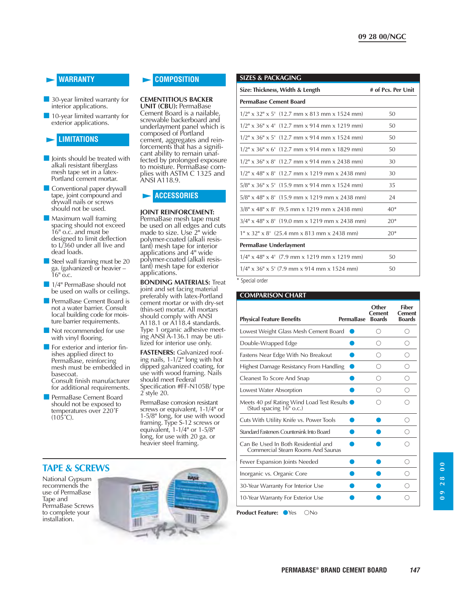#### **WARRANTY**

- **30-year limited warranty for** interior applications.
- **10-year limited warranty for** exterior applications.

#### **LIMITATIONS**

- **D** Joints should be treated with alkali resistant fiberglass mesh tape set in a latex-Portland cement mortar.
- - Conventional paper drywall tape, joint compound and drywall nails or screws should not be used.
- **Maximum wall framing** spacing should not exceed 16" o.c. and must be designed to limit deflection to L/360 under all live and dead loads.
- Steel wall framing must be 20 ga. (galvanized) or heavier –  $16"$  o.c.
- 1/4" PermaBase should not be used on walls or ceilings.
- **PermaBase Cement Board is** not a water barrier. Consult local building code for moisture barrier requirements.
- Not recommended for use with vinyl flooring.
- **For exterior and interior fin**ishes applied direct to PermaBase, reinforcing mesh must be embedded in basecoat. Consult finish manufacturer for additional requirements.
- **PermaBase Cement Board** should not be exposed to temperatures over 220˚F  $(105^{\circ}C)$ .

#### **COMPOSITION**

#### **CEMENTITIOUS BACKER**

**UNIT (CBU):** PermaBase Cement Board is a nailable, screwable backerboard and underlayment panel which is composed of Portland cement, aggregates and reinforcements that has a significant ability to remain unaffected by prolonged exposure to moisture. PermaBase complies with ASTM C 1325 and ANSI A118.9.

#### **ACCESSORIES**

#### **JOINT REINFORCEMENT:**

PermaBase mesh tape must be used on all edges and cuts made to size. Use 2" wide polymer-coated (alkali resistant) mesh tape for interior applications and 4" wide polymer-coated (alkali resistant) mesh tape for exterior applications.

**BONDING MATERIALS:** Treat joint and set facing material preferably with latex-Portland cement mortar or with dry-set (thin-set) mortar. All mortars should comply with ANSI A118.1 or A118.4 standards. Type 1 organic adhesive meeting ANSI A-136.1 may be utilized for interior use only.

**FASTENERS:** Galvanized roofing nails, 1-1/2" long with hot dipped galvanized coating, for use with wood framing. Nails should meet Federal Specification #FF-N105B/ type 2 style 20.

PermaBase corrosion resistant<br>screws or equivalent, 1-1/4" or 1-5/8" long, for use with wood framing. Type S-12 screws or equivalent, 1-1/4" or 1-5/8" long, for use with 20 ga. or heavier steel framing.

#### **SIZES & PACKAGING**

| Size: Thickness, Width & Length                  | # of Pcs. Per Unit |
|--------------------------------------------------|--------------------|
| <b>PermaBase Cement Board</b>                    |                    |
| $1/2$ " x 32" x 5' (12.7 mm x 813 mm x 1524 mm)  | 50                 |
| $1/2$ " x 36" x 4' (12.7 mm x 914 mm x 1219 mm)  | 50                 |
| $1/2$ " x 36" x 5' (12.7 mm x 914 mm x 1524 mm)  | 50                 |
| $1/2$ " x 36" x 6' (12.7 mm x 914 mm x 1829 mm)  | 50                 |
| $1/2$ " x 36" x 8' (12.7 mm x 914 mm x 2438 mm)  | 30                 |
| $1/2$ " x 48" x 8' (12.7 mm x 1219 mm x 2438 mm) | 30                 |
| $5/8''$ x 36" x 5' (15.9 mm x 914 mm x 1524 mm)  | 35                 |
| $5/8$ " x 48" x 8' (15.9 mm x 1219 mm x 2438 mm) | 24                 |
| $3/8''$ x 48" x 8' (9.5 mm x 1219 mm x 2438 mm)  | $40*$              |
| $3/4$ " x 48" x 8' (19.0 mm x 1219 mm x 2438 mm) | $20*$              |
| $1''$ x 32" x 8' (25.4 mm x 813 mm x 2438 mm)    | $20*$              |
| PermaBase Underlayment                           |                    |
| $1/4$ " x 48" x 4' (7.9 mm x 1219 mm x 1219 mm)  | 50                 |
| $1/4$ " x 36" x 5' (7.9 mm x 914 mm x 1524 mm)   | 50                 |

\* Special order

#### **COMPARISON CHART**

| <b>Physical Feature Benefits</b>                                                         | <b>PermaBase</b> | Other<br><b>Cement</b><br><b>Boards</b> | <b>Fiber</b><br><b>Cement</b><br><b>Boards</b> |
|------------------------------------------------------------------------------------------|------------------|-----------------------------------------|------------------------------------------------|
| Lowest Weight Glass Mesh Cement Board                                                    |                  |                                         | ⊖                                              |
| Double-Wrapped Edge                                                                      |                  | ∩)                                      | ∩                                              |
| Fastens Near Edge With No Breakout                                                       |                  | ∩                                       | ∩                                              |
| Highest Damage Resistancy From Handling                                                  |                  | ∩                                       | ∩                                              |
| Cleanest To Score And Snap                                                               |                  | ∩                                       | ∩                                              |
| Lowest Water Absorption                                                                  |                  | ( )                                     |                                                |
| Meets 40 psf Rating Wind Load Test Results $\bullet$<br>(Stud spacing $16^{\circ}$ o.c.) |                  |                                         |                                                |
| Cuts With Utility Knife vs. Power Tools                                                  |                  |                                         | ∩                                              |
| Standard Fasteners Countersink Into Board                                                |                  |                                         | ( )                                            |
| Can Be Used In Both Residential and<br>Commercial Steam Rooms And Saunas                 |                  |                                         |                                                |
| Fewer Expansion Joints Needed                                                            |                  |                                         | ∩                                              |
| Inorganic vs. Organic Core                                                               |                  |                                         | ( )                                            |
| 30-Year Warranty For Interior Use                                                        |                  |                                         |                                                |
| 10-Year Warranty For Exterior Use                                                        |                  |                                         |                                                |
| <b>Product Feature:</b><br><b>Yes</b><br>$N_0$                                           |                  |                                         |                                                |



**147 PERMABASE® BRAND CEMENT BOARD**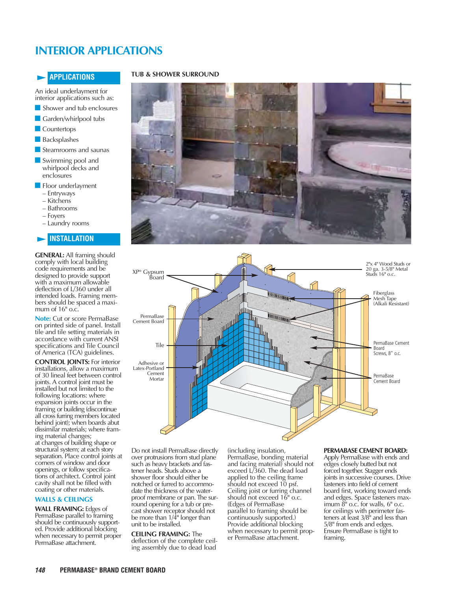## **INTERIOR APPLICATIONS**

#### **APPLICATIONS**

An ideal underlayment for interior applications such as:

- Shower and tub enclosures
- **Carden/whirlpool tubs**
- **Countertops**
- **Backsplashes**
- Steamrooms and saunas
- Swimming pool and whirlpool decks and enclosures
- **Floor underlayment** 
	- Entryways
	- Kitchens
	- Bathrooms
	- Foyers
	- Laundry rooms

#### **INSTALLATION**

**GENERAL:** All framing should comply with local building code requirements and be designed to provide support with a maximum allowable deflection of L/360 under all intended loads. Framing members should be spaced a maximum of 16" o.c.

**Note:** Cut or score PermaBase on printed side of panel. Install tile and tile setting materials in accordance with current ANSI specifications and Tile Council of America (TCA) guidelines.

**CONTROL JOINTS:** For interior installations, allow a maximum of 30 lineal feet between control joints. A control joint must be installed but not limited to the following locations: where expansion joints occur in the framing or building (discontinue all cross furring members located behind joint); when boards abut dissimilar materials; where framing material changes; at changes of building shape or structural system; at each story separation. Place control joints at corners of window and door openings, or follow specifications of architect. Control joint cavity shall not be filled with coating or other materials.

#### **WALLS & CEILINGS**

**WALL FRAMING:** Edges of PermaBase parallel to framing should be continuously supported. Provide additional blocking when necessary to permit proper PermaBase attachment.

#### **TUB & SHOWER SURROUND**





Do not install PermaBase directly over protrusions from stud plane such as heavy brackets and fastener heads. Studs above a shower floor should either be notched or furred to accommodate the thickness of the waterproof membrane or pan. The surround opening for a tub or precast shower receptor should not be more than 1/4" longer than unit to be installed.

**CEILING FRAMING:** The deflection of the complete ceiling assembly due to dead load

(including insulation, PermaBase, bonding material and facing material) should not exceed L/360. The dead load applied to the ceiling frame should not exceed 10 psf. Ceiling joist or furring channel should not exceed 16" o.c. (Edges of PermaBase parallel to framing should be continuously supported.) Provide additional blocking when necessary to permit proper PermaBase attachment.

#### **PERMABASE CEMENT BOARD:**

Apply PermaBase with ends and<br>edges closely butted but not forced together. Stagger ends joints in successive courses. Drive fasteners into field of cement board first, working toward ends and edges. Space fasteners maximum  $\ddot{\delta}$ " o.c. for walls,  $6$ " o.c. for ceilings with perimeter fasteners at least 3/8" and less than 5/8" from ends and edges. Ensure PermaBase is tight to framing.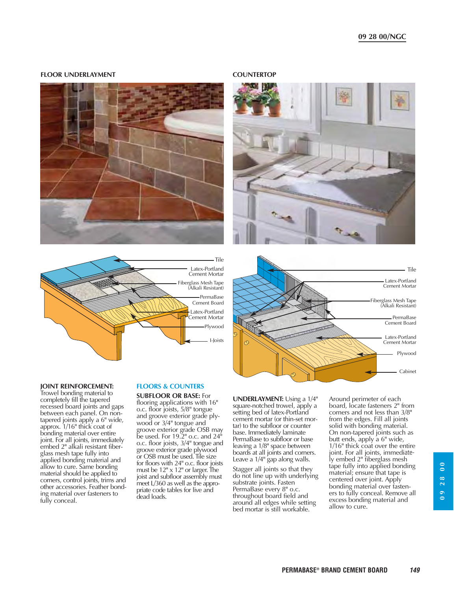#### **09 28 00/NGC**

#### **FLOOR UNDERLAYMENT COUNTERTOP**





## Fiberglass Mesh Tape (Alkali Resistant) Plywood Latex-Portland Cement Mortar Latex-Portland Cement Mortar PermaBase Cement Board - Tile

#### **JOINT REINFORCEMENT:**

Trowel bonding material to completely fill the tapered recessed board joints and gaps between each panel. On nontapered joints apply a 6" wide, approx. 1/16" thick coat of bonding material over entire joint. For all joints, immediately embed 2" alkali resistant fiberglass mesh tape fully into applied bonding material and allow to cure. Same bonding material should be applied to corners, control joints, trims and other accessories. Feather bonding material over fasteners to fully conceal.

#### **FLOORS & COUNTERS**

**SUBFLOOR OR BASE:** For flooring applications with 16" o.c. floor joists, 5/8" tongue and groove exterior grade plywood or 3/4" tongue and groove exterior grade OSB may be used. For 19.2" o.c. and 24" o.c. floor joists, 3/4" tongue and groove exterior grade plywood or OSB must be used. Tile size for floors with 24" o.c. floor joists must be  $12<sup>n</sup> \times 12<sup>n</sup>$  or larger. The joist and subfloor assembly must meet L/360 as well as the appropriate code tables for live and dead loads.

**UNDERLAYMENT:** Using a 1/4" square-notched trowel, apply a setting bed of latex-Portland cement mortar (or thin-set mortar) to the subfloor or counter base. Immediately laminate PermaBase to subfloor or base leaving a 1/8" space between boards at all joints and corners. Leave a 1/4" gap along walls.

Stagger all joints so that they do not line up with underlying substrate joints. Fasten PermaBase every 8" o.c. throughout board field and around all edges while setting bed mortar is still workable.

Around perimeter of each board, locate fasteners 2" from corners and not less than 3/8" from the edges. Fill all joints solid with bonding material. On non-tapered joints such as butt ends, apply a 6" wide, 1/16" thick coat over the entire joint. For all joints, immediately embed 2" fiberglass mesh tape fully into applied bonding material; ensure that tape is centered over joint. Apply bonding material over fasteners to fully conceal. Remove all excess bonding material and allow to cure.





**09 28 00**

 $\overline{0}$  $28$  $\overline{0}$ 

Cabinet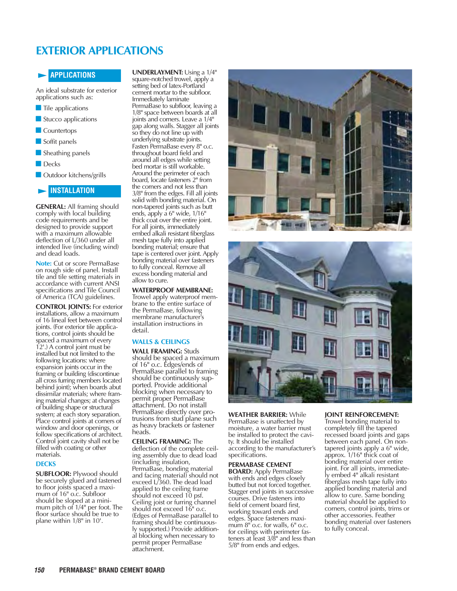## **EXTERIOR APPLICATIONS**

#### **APPLICATIONS**

An ideal substrate for exterior applications such as:

- **Tile applications**
- Stucco applications
- **Countertops**
- **Soffit panels**
- **Sheathing panels**
- **Decks**
- **D** Outdoor kitchens/grills

#### **INSTALLATION**

**GENERAL:** All framing should comply with local building code requirements and be designed to provide support with a maximum allowable deflection of L/360 under all intended live (including wind) and dead loads.

**Note:** Cut or score PermaBase on rough side of panel. Install tile and tile setting materials in accordance with current ANSI specifications and Tile Council of America (TCA) guidelines.

**CONTROL JOINTS:** For exterior installations, allow a maximum of 16 lineal feet between control joints. (For exterior tile applications, control joints should be spaced a maximum of every 12'.) A control joint must be installed but not limited to the following locations: where expansion joints occur in the framing or building (discontinue all cross furring members located behind joint); when boards abut dissimilar materials; where framing material changes; at changes of building shape or structural system; at each story separation.<br>Place control joints at corners of window and door openings, or follow specifications of architect. Control joint cavity shall not be filled with coating or other materials.

#### **DECKS**

**SUBFLOOR:** Plywood should be securely glued and fastened to floor joists spaced a maximum of 16" o.c. Subfloor should be sloped at a minimum pitch of 1/4" per foot. The floor surface should be true to plane within 1/8" in 10'.

**UNDERLAYMENT:** Using a 1/4" square-notched trowel, apply a setting bed of latex-Portland cement mortar to the subfloor. Immediately laminate PermaBase to subfloor, leaving a 1/8" space between boards at all joints and corners. Leave a 1/4" gap along walls. Stagger all joints so they do not line up with underlying substrate joints. Fasten PermaBase every 8" o.c. throughout board field and around all edges while setting bed mortar is still workable. Around the perimeter of each board, locate fasteners 2" from the corners and not less than 3/8" from the edges. Fill all joints solid with bonding material. On non-tapered joints such as butt ends, apply a 6" wide, 1/16" thick coat over the entire joint. For all joints, immediately embed alkali resistant fiberglass mesh tape fully into applied bonding material; ensure that tape is centered over joint. Apply bonding material over fasteners to fully conceal. Remove all excess bonding material and allow to cure.

#### **WATERPROOF MEMBRANE:**

Trowel apply waterproof membrane to the entire surface of the PermaBase, following membrane manufacturer's installation instructions in detail.

#### **WALLS & CEILINGS**

**WALL FRAMING:** Studs should be spaced a maximum of 16" o.c. Edges/ends of PermaBase parallel to framing should be continuously supported. Provide additional blocking when necessary to permit proper PermaBase attachment. Do not install PermaBase directly over protrusions from stud plane such as heavy brackets or fastener heads.

**CEILING FRAMING:** The deflection of the complete ceiling assembly due to dead load (including insulation, PermaBase, bonding material and facing material) should not exceed L/360. The dead load applied to the ceiling frame should not exceed 10 psf. Ceiling joist or furring channel should not exceed 16" o.c. (Edges of PermaBase parallel to framing should be continuously supported.) Provide additional blocking when necessary to permit proper PermaBase attachment.





**WEATHER BARRIER:** While PermaBase is unaffected by moisture, a water barrier must be installed to protect the cavity. It should be installed according to the manufacturer's specifications.

#### **PERMABASE CEMENT BOARD:** Apply PermaBase with ends and edges closely butted but not forced together. Stagger end joints in successive courses. Drive fasteners into field of cement board first, working toward ends and edges. Space fasteners maximum 8" o.c. for walls, 6" o.c. for ceilings with perimeter fasteners at least 3/8" and less than

5/8" from ends and edges.

#### **JOINT REINFORCEMENT:**

Trowel bonding material to completely fill the tapered recessed board joints and gaps between each panel. On nontapered joints apply a 6" wide, approx. 1/16" thick coat of bonding material over entire joint. For all joints, immediately embed 4" alkali resistant fiberglass mesh tape fully into applied bonding material and allow to cure. Same bonding material should be applied to corners, control joints, trims or other accessories. Feather bonding material over fasteners to fully conceal.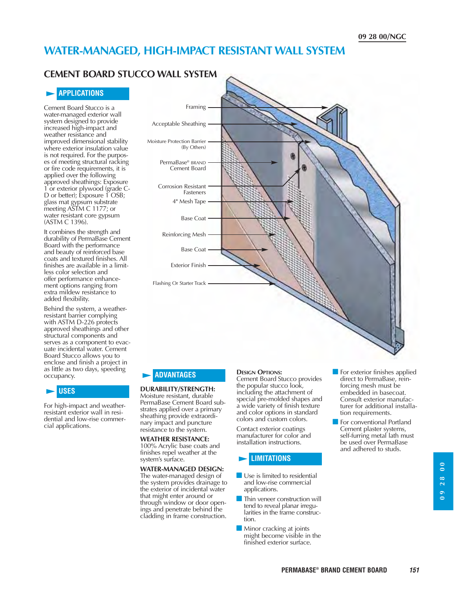### **WATER-MANAGED, HIGH-IMPACT RESISTANT WALL SYSTEM**

### **CEMENT BOARD STUCCO WALL SYSTEM**

#### **APPLICATIONS**

Cement Board Stucco is a water-managed exterior wall system designed to provide increased high-impact and weather resistance and improved dimensional stability where exterior insulation value is not required. For the purposes of meeting structural racking or fire code requirements, it is applied over the following approved sheathings: Exposure 1 or exterior plywood (grade C-D or better); Exposure 1 OSB; glass mat gypsum substrate meeting ASTM C 1177; or water resistant core gypsum (ASTM C 1396).

It combines the strength and durability of PermaBase Cement Board with the performance and beauty of reinforced base coats and textured finishes. All finishes are available in a limitless color selection and offer performance enhancement options ranging from extra mildew resistance to added flexibility.

Behind the system, a weatherresistant barrier complying with ASTM D-226 protects approved sheathings and other structural components and serves as a component to evacuate incidental water. Cement Board Stucco allows you to enclose and finish a project in as little as two days, speeding occupancy.

#### **USES**

For high-impact and weatherresistant exterior wall in residential and low-rise commercial applications.



#### **ADVANTAGES**

#### **DURABILITY/STRENGTH:**

Moisture resistant, durable PermaBase Cement Board substrates applied over a primary sheathing provide extraordinary impact and puncture resistance to the system.

**WEATHER RESISTANCE:** 100% Acrylic base coats and finishes repel weather at the system's surface.

#### **WATER-MANAGED DESIGN:**

The water-managed design of the system provides drainage to the exterior of incidental water that might enter around or through window or door openings and penetrate behind the cladding in frame construction.

#### **DESIGN OPTIONS:**

Cement Board Stucco provides the popular stucco look, including the attachment of special pre-molded shapes and a wide variety of finish texture and color options in standard colors and custom colors.

Contact exterior coatings manufacturer for color and installation instructions.

#### **LIMITATIONS**

- Use is limited to residential and low-rise commercial applications.
- **Thin veneer construction will** tend to reveal planar irregularities in the frame construction.
- - Minor cracking at joints might become visible in the finished exterior surface.
- **For exterior finishes applied** direct to PermaBase, reinforcing mesh must be embedded in basecoat. Consult exterior manufacturer for additional installation requirements.
- **For conventional Portland** Cement plaster systems, self-furring metal lath must be used over PermaBase and adhered to studs.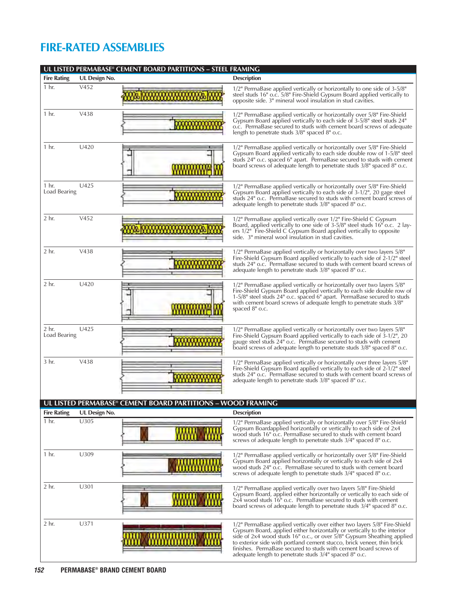## **FIRE-RATED ASSEMBLIES**

|                         |               | UL LISTED PERMABASE <sup>®</sup> CEMENT BOARD PARTITIONS - STEEL FRAMING |                                                                                                                                                                                                                                                                                                                                                                                                                                        |
|-------------------------|---------------|--------------------------------------------------------------------------|----------------------------------------------------------------------------------------------------------------------------------------------------------------------------------------------------------------------------------------------------------------------------------------------------------------------------------------------------------------------------------------------------------------------------------------|
| <b>Fire Rating</b>      | UL Design No. |                                                                          | <b>Description</b>                                                                                                                                                                                                                                                                                                                                                                                                                     |
| 1 hr.                   | V452          |                                                                          | 1/2" PermaBase applied vertically or horizontally to one side of 3-5/8"<br>steel studs 16" o.c. 5/8" Fire-Shield Gypsum Board applied vertically to<br>opposite side. 3" mineral wool insulation in stud cavities.                                                                                                                                                                                                                     |
| 1 <sub>hr.</sub>        | V438          |                                                                          | 1/2" PermaBase applied vertically or horizontally over 5/8" Fire-Shield<br>Gypsum Board applied vertically to each side of 3-5/8" steel studs 24"<br>o.c. PermaBase secured to studs with cement board screws of adequate<br>length to penetrate studs $3/8$ " spaced $8$ " o.c.                                                                                                                                                       |
| 1 hr.                   | U420          |                                                                          | 1/2" PermaBase applied vertically or horizontally over 5/8" Fire-Shield<br>Gypsum Board applied vertically to each side double row of 1-5/8" steel<br>studs 24" o.c. spaced 6" apart. PermaBase secured to studs with cement<br>board screws of adequate length to penetrate studs 3/8" spaced 8" o.c.                                                                                                                                 |
| 1 hr.<br>Load Bearing   | U425          |                                                                          | 1/2" PermaBase applied vertically or horizontally over 5/8" Fire-Shield<br>Gypsum Board applied vertically to each side of 3-1/2", 20 gage steel<br>studs 24" o.c. PermaBase secured to studs with cement board screws of<br>adequate length to penetrate studs 3/8" spaced 8" o.c.                                                                                                                                                    |
| 2 hr.                   | V452          |                                                                          | 1/2" PermaBase applied vertically over 1/2" Fire-Shield C Gypsum<br>Board, applied vertically to one side of 3-5/8" steel studs 16" o.c. 2 lay-<br>ers 1/2" Fire-Shield C Gypsum Board applied vertically to opposite<br>side. 3" mineral wool insulation in stud cavities.                                                                                                                                                            |
| 2 hr.                   | V438          |                                                                          | 1/2" PermaBase applied vertically or horizontally over two layers 5/8"<br>Fire-Shield Gypsum Board applied vertically to each side of 2-1/2" steel<br>studs 24" o.c. PermaBase secured to studs with cement board screws of<br>adequate length to penetrate studs 3/8" spaced 8" o.c.                                                                                                                                                  |
| $2$ hr.                 | U420          |                                                                          | 1/2" PermaBase applied vertically or horizontally over two layers 5/8"<br>Fire-Shield Gypsum Board applied vertically to each side double row of<br>1-5/8" steel studs 24" o.c. spaced 6" apart. PermaBase secured to studs<br>with cement board screws of adequate length to penetrate studs 3/8"<br>spaced 8" o.c.                                                                                                                   |
| $2$ hr.<br>Load Bearing | U425          |                                                                          | 1/2" PermaBase applied vertically or horizontally over two layers 5/8"<br>Fire-Shield Gypsum Board applied vertically to each side of 3-1/2", 20<br>gauge steel studs 24" o.c. PermaBase secured to studs with cement<br>board screws of adequate length to penetrate studs 3/8" spaced 8" o.c.                                                                                                                                        |
| 3 hr.                   | V438          |                                                                          | 1/2" PermaBase applied vertically or horizontally over three layers 5/8"<br>Fire-Shield Gypsum Board applied vertically to each side of 2-1/2" steel<br>studs 24" o.c. PermaBase secured to studs with cement board screws of<br>adequate length to penetrate studs 3/8" spaced 8" o.c.                                                                                                                                                |
|                         |               | UL LISTED PERMABASE® CEMENT BOARD PARTITIONS - WOOD FRAMING              |                                                                                                                                                                                                                                                                                                                                                                                                                                        |
| <b>Fire Rating</b>      | UL Design No. |                                                                          | <b>Description</b>                                                                                                                                                                                                                                                                                                                                                                                                                     |
| 1 hr.                   | U305          |                                                                          | 1/2" PermaBase applied vertically or horizontally over 5/8" Fire-Shield<br>Gypsum Boardapplied horizontally or vertically to each side of 2x4<br>wood studs 16" o.c. PermaBase secured to studs with cement board<br>screws of adequate length to penetrate studs 3/4" spaced 8" o.c.                                                                                                                                                  |
| 1 hr.                   | U309          |                                                                          | 1/2" PermaBase applied vertically or horizontally over 5/8" Fire-Shield<br>Gypsum Board applied horizontally or vertically to each side of 2x4<br>wood studs 24" o.c. PermaBase secured to studs with cement board<br>screws of adequate length to penetrate studs 3/4" spaced 8" o.c.                                                                                                                                                 |
| $2$ hr.                 | U301          |                                                                          | 1/2" PermaBase applied vertically over two layers 5/8" Fire-Shield<br>Gypsum Board, applied either horizontally or vertically to each side of<br>$2x4$ wood studs $16^{\circ}$ o.c. PermaBase secured to studs with cement<br>board screws of adequate length to penetrate studs 3/4" spaced 8" o.c.                                                                                                                                   |
| $2$ hr.                 | U371          |                                                                          | 1/2" PermaBase applied vertically over either two layers 5/8" Fire-Shield<br>Gypsum Board, applied either horizontally or vertically to the interior<br>side of 2x4 wood studs 16" o.c., or over 5/8" Gypsum Sheathing applied<br>to exterior side with portland cement stucco, brick veneer, thin brick<br>finishes. PermaBase secured to studs with cement board screws of<br>adequate length to penetrate studs 3/4" spaced 8" o.c. |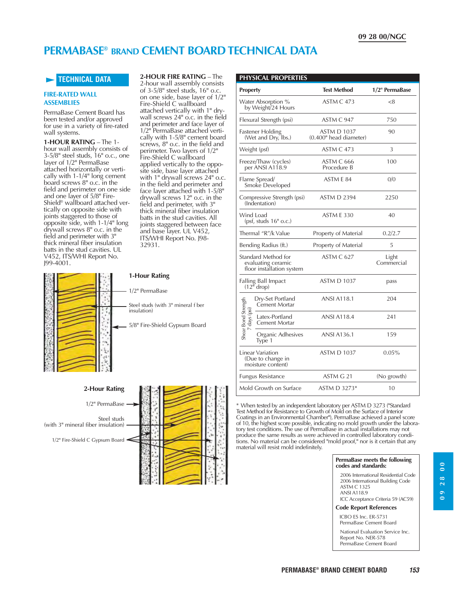## **PERMABASE® BRAND CEMENT BOARD TECHNICAL DATA**

#### **TECHNICAL DATA**

#### **FIRE-RATED WALL ASSEMBLIES**

PermaBase Cement Board has been tested and/or approved for use in a variety of fire-rated wall systems.

**1-HOUR RATING** – The 1 hour wall assembly consists of  $3-5/8$ " steel studs,  $16$ " o.c., one layer of 1/2" PermaBase attached horizontally or vertically with 1-1/4" long cement board screws 8" o.c. in the field and perimeter on one side and one layer of 5/8" Fire-Shield® wallboard attached vertically on opposite side with joints staggered to those of opposite side, with 1-1/4" long drywall screws 8" o.c. in the field and perimeter with 3" thick mineral fiber insulation batts in the stud cavities. UL V452, ITS/WHI Report No. J99-4001.

**2-HOUR FIRE RATING** – The 2-hour wall assembly consists of  $3-5/8$ " steel studs,  $16$ " o.c. on one side, base layer of 1/2" Fire-Shield C wallboard attached vertically with 1" drywall screws 24" o.c. in the field and perimeter and face layer of 1/2" PermaBase attached vertically with 1-5/8" cement board screws, 8" o.c. in the field and perimeter. Two layers of 1/2" Fire-Shield C wallboard applied vertically to the opposite side, base layer attached with 1" drywall screws 24" o.c. in the field and perimeter and face layer attached with 1-5/8" drywall screws 12" o.c. in the field and perimeter, with 3" thick mineral fiber insulation batts in the stud cavities. All joints staggered between face and base layer. UL V452, ITS/WHI Report No. J98- 32931.





#### **PHYSICAL PROPERTIES**

| <b>Property</b>                                                        | <b>Test Method</b>                           | 1/2" PermaBase      |  |
|------------------------------------------------------------------------|----------------------------------------------|---------------------|--|
| Water Absorption %<br>by Weight/24 Hours                               | ASTM C 473                                   | < 8                 |  |
| Flexural Strength (psi)                                                | ASTM C 947                                   | 750                 |  |
| Fastener Holding<br>(Wet and Dry, Ibs.)                                | <b>ASTM D 1037</b><br>(0.400" head diameter) | 90                  |  |
| Weight (psf)                                                           | ASTM C 473                                   | 3                   |  |
| Freeze/Thaw (cycles)<br>per ANSI A118.9                                | ASTM C 666<br>Procedure B                    | 100                 |  |
| Flame Spread/<br>Smoke Developed                                       | ASTM E 84                                    | 0/0                 |  |
| Compressive Strength (psi)<br>(Indentation)                            | <b>ASTM D 2394</b>                           | 2250                |  |
| Wind Load<br>(psf, studs 16" o.c.)                                     | ASTM E 330                                   | 40                  |  |
| Thermal "R"/k Value                                                    | Property of Material                         | 0.2/2.7             |  |
| Bending Radius (ft.)                                                   | Property of Material                         | 5                   |  |
| Standard Method for<br>evaluating ceramic<br>floor installation system | ASTM C 627                                   | Light<br>Commercial |  |
| Falling Ball Impact<br>$(12^{n}$ drop)                                 | <b>ASTM D 1037</b>                           | pass                |  |
| Dry-Set Portland<br>Cement Mortar                                      | <b>ANSI A118.1</b>                           | 204                 |  |
| Shear Bond Strength<br>days (psi<br>Latex-Portland<br>Cement Mortar    | <b>ANSI A118.4</b>                           | 241                 |  |
| Organic Adhesives<br>Type 1                                            | <b>ANSI A136.1</b>                           | 159                 |  |
| Linear Variation<br>(Due to change in<br>moisture content)             | <b>ASTM D 1037</b>                           | 0.05%               |  |
| <b>Fungus Resistance</b>                                               | ASTM G 21                                    | (No growth)         |  |
| Mold Growth on Surface                                                 | ASTM D 3273*                                 | 10                  |  |

\* When tested by an independent laboratory per ASTM D 3273 ("Standard Test Method for Resistance to Growth of Mold on the Surface of Interior Coatings in an Environmental Chamber"), PermaBase achieved a panel score of 10, the highest score possible, indicating no mold growth under the laboratory test conditions. The use of PermaBase in actual installations may not produce the same results as were achieved in controlled laboratory conditions. No material can be considered "mold proof," nor is it certain that any material will resist mold indefinitely.

#### **PermaBase meets the following codes and standards:**

2006 International Residential Code 2006 International Building Code ASTM C 1325 ANSI A118.9

ICC Acceptance Criteria 59 (AC59)

#### **Code Report References**

ICBO ES Inc. ER-5731 PermaBase Cement Board

National Evaluation Service Inc. Report No. NER-578 PermaBase Cement Board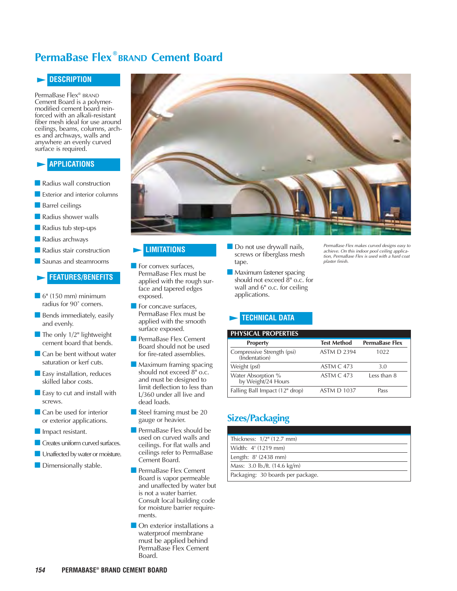## **PermaBase Flex**<sup>®</sup> BRAND **Cement Board**

#### **DESCRIPTION**

PermaBase Flex® BRAND Cement Board is a polymermodified cement board reinforced with an alkali-resistant fiber mesh ideal for use around ceilings, beams, columns, arches and archways, walls and anywhere an evenly curved surface is required.

#### **APPLICATIONS**

- **Radius wall construction**
- Exterior and interior columns
- **Barrel ceilings**

**Radius shower walls** 

- Radius tub step-ups
- **Radius archways**
- **Radius stair construction**
- **Saunas and steamrooms**

#### **FEATURES/BENEFITS**

- $\blacksquare$  6" (150 mm) minimum radius for 90˚ corners.
- **Bends immediately, easily** and evenly.
- $\blacksquare$  The only 1/2" lightweight cement board that bends.
- Can be bent without water saturation or kerf cuts.
- **E** Easy installation, reduces skilled labor costs.
- $\blacksquare$  Easy to cut and install with screws.
- **Can be used for interior** or exterior applications.
- **Impact resistant.**
- **Creates uniform curved surfaces.**
- **I** Unaffected by water or moisture.
- **Dimensionally stable.**



#### **LIMITATIONS**

- For convex surfaces, PermaBase Flex must be applied with the rough surface and tapered edges exposed.
- For concave surfaces, PermaBase Flex must be applied with the smooth surface exposed.
- **PermaBase Flex Cement** Board should not be used for fire-rated assemblies.
- **Maximum framing spacing** should not exceed 8" o.c. and must be designed to limit deflection to less than L/360 under all live and dead loads.
- Steel framing must be 20 gauge or heavier.
- PermaBase Flex should be used on curved walls and ceilings. For flat walls and ceilings refer to PermaBase Cement Board.
- **PermaBase Flex Cement** Board is vapor permeable and unaffected by water but is not a water barrier. Consult local building code for moisture barrier requirements.
- **On exterior installations a** waterproof membrane must be applied behind PermaBase Flex Cement Board.
- Do not use drywall nails, screws or fiberglass mesh tape.
- **Maximum fastener spacing** should not exceed 8" o.c. for wall and 6" o.c. for ceiling applications.

PermaBase Flex makes curved designs easy to achieve. On this indoor pool ceiling application, PermaBase Flex is used with a hard coat plaster finish.

#### **TECHNICAL DATA**

#### **PHYSICAL PROPERTIES**

| <b>Property</b>                             | <b>Test Method</b> | <b>PermaBase Flex</b> |
|---------------------------------------------|--------------------|-----------------------|
| Compressive Strength (psi)<br>(Indentation) | <b>ASTM D 2394</b> | 1022                  |
| Weight (psf)                                | ASTM C 473         | 3.0                   |
| Water Absorption %<br>by Weight/24 Hours    | <b>ASTM C 473</b>  | Less than 8           |
| Falling Ball Impact (12" drop)              | <b>ASTM D 1037</b> | Pass                  |

## **Sizes/Packaging**

| Thickness: 1/2" (12.7 mm)         |
|-----------------------------------|
| Width: 4' (1219 mm)               |
| Length: 8' (2438 mm)              |
| Mass: 3.0 lb./ft. (14.6 kg/m)     |
| Packaging: 30 boards per package. |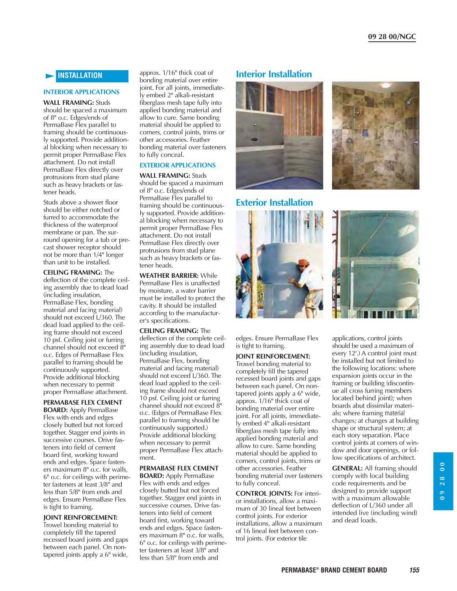#### **INSTALLATION**

#### **INTERIOR APPLICATIONS**

**WALL FRAMING:** Studs should be spaced a maximum of 8" o.c. Edges/ends of PermaBase Flex parallel to framing should be continuously supported. Provide additional blocking when necessary to permit proper PermaBase Flex attachment. Do not install PermaBase Flex directly over protrusions from stud plane such as heavy brackets or fastener heads.

Studs above a shower floor should be either notched or furred to accommodate the thickness of the waterproof membrane or pan. The surround opening for a tub or precast shower receptor should not be more than 1/4" longer than unit to be installed.

**CEILING FRAMING:** The deflection of the complete ceiling assembly due to dead load (including insulation, PermaBase Flex, bonding material and facing material) should not exceed L/360. The dead load applied to the ceiling frame should not exceed 10 psf. Ceiling joist or furring channel should not exceed 8" o.c. Edges of PermaBase Flex parallel to framing should be continuously supported. Provide additional blocking when necessary to permit proper PermaBase attachment.

#### **PERMABASE FLEX CEMENT**

**BOARD:** Apply PermaBase Flex with ends and edges closely butted but not forced together. Stagger end joints in successive courses. Drive fasteners into field of cement board first, working toward ends and edges. Space fasteners maximum 8" o.c. for walls, 6" o.c. for ceilings with perimeter fasteners at least 3/8" and less than 5/8" from ends and edges. Ensure PermaBase Flex is tight to framing.

#### **JOINT REINFORCEMENT:**

Trowel bonding material to completely fill the tapered recessed board joints and gaps between each panel. On nontapered joints apply a 6" wide,

approx. 1/16" thick coat of bonding material over entire joint. For all joints, immediately embed 2" alkali-resistant fiberglass mesh tape fully into applied bonding material and allow to cure. Same bonding material should be applied to corners, control joints, trims or other accessories. Feather bonding material over fasteners to fully conceal.

#### **EXTERIOR APPLICATIONS**

**WALL FRAMING:** Studs should be spaced a maximum of 8" o.c. Edges/ends of PermaBase Flex parallel to framing should be continuously supported. Provide additional blocking when necessary to permit proper PermaBase Flex attachment. Do not install PermaBase Flex directly over protrusions from stud plane such as heavy brackets or fastener heads.

**WEATHER BARRIER:** While PermaBase Flex is unaffected by moisture, a water barrier must be installed to protect the cavity. It should be installed according to the manufacturer's specifications.

#### **CEILING FRAMING:** The

deflection of the complete ceiling assembly due to dead load (including insulation, PermaBase Flex, bonding material and facing material) should not exceed L/360. The dead load applied to the ceiling frame should not exceed 10 psf. Ceiling joist or furring channel should not exceed 8" o.c. (Edges of PermaBase Flex parallel to framing should be continuously supported.) Provide additional blocking when necessary to permit proper PermaBase Flex attachment.

#### **PERMABASE FLEX CEMENT**

**BOARD:** Apply PermaBase Flex with ends and edges closely butted but not forced together. Stagger end joints in successive courses. Drive fasteners into field of cement board first, working toward ends and edges. Space fasteners maximum 8" o.c. for walls, 6" o.c. for ceilings with perimeter fasteners at least 3/8" and less than 5/8" from ends and

#### **Interior Installation**



#### **Exterior Installation**



edges. Ensure PermaBase Flex is tight to framing.

#### **JOINT REINFORCEMENT:**

Trowel bonding material to completely fill the tapered recessed board joints and gaps between each panel. On nontapered joints apply a 6" wide, approx. 1/16" thick coat of bonding material over entire joint. For all joints, immediately embed 4" alkali-resistant fiberglass mesh tape fully into applied bonding material and allow to cure. Same bonding material should be applied to corners, control joints, trims or other accessories. Feather bonding material over fasteners to fully conceal.

**CONTROL JOINTS:** For interior installations, allow a maximum of 30 lineal feet between control joints. For exterior installations, allow a maximum of 16 lineal feet between control joints. (For exterior tile





applications, control joints should be used a maximum of every 12'.) A control joint must be installed but not limited to the following locations: where expansion joints occur in the framing or building (discontinue all cross furring members located behind joint); when boards abut dissimilar materials; where framing material changes; at changes at building shape or structural system; at each story separation. Place control joints at corners of window and door openings, or follow specifications of architect.

**GENERAL:** All framing should comply with local building code requirements and be designed to provide support with a maximum allowable deflection of L/360 under all intended live (including wind) and dead loads.